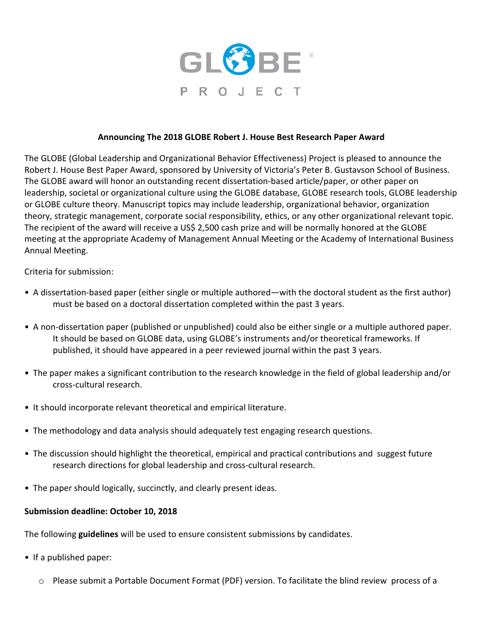

## **Announcing The 2018 GLOBE Robert J. House Best Research Paper Award**

The GLOBE (Global Leadership and Organizational Behavior Effectiveness) Project is pleased to announce the Robert J. House Best Paper Award, sponsored by University of Victoria's Peter B. Gustavson School of Business. The GLOBE award will honor an outstanding recent dissertation-based article/paper, or other paper on leadership, societal or organizational culture using the GLOBE database, GLOBE research tools, GLOBE leadership or GLOBE culture theory. Manuscript topics may include leadership, organizational behavior, organization theory, strategic management, corporate social responsibility, ethics, or any other organizational relevant topic. The recipient of the award will receive a US\$ 2,500 cash prize and will be normally honored at the GLOBE meeting at the appropriate Academy of Management Annual Meeting or the Academy of International Business Annual Meeting.

Criteria for submission:

- A dissertation-based paper (either single or multiple authored—with the doctoral student as the first author) must be based on a doctoral dissertation completed within the past 3 years.
- A non-dissertation paper (published or unpublished) could also be either single or a multiple authored paper. It should be based on GLOBE data, using GLOBE's instruments and/or theoretical frameworks. If published, it should have appeared in a peer reviewed journal within the past 3 years.
- The paper makes a significant contribution to the research knowledge in the field of global leadership and/or cross-cultural research.
- It should incorporate relevant theoretical and empirical literature.
- The methodology and data analysis should adequately test engaging research questions.
- The discussion should highlight the theoretical, empirical and practical contributions and suggest future research directions for global leadership and cross-cultural research.
- The paper should logically, succinctly, and clearly present ideas.

## **Submission deadline: October 10, 2018**

The following **guidelines** will be used to ensure consistent submissions by candidates.

- If a published paper:
	- $\circ$  Please submit a Portable Document Format (PDF) version. To facilitate the blind review process of a